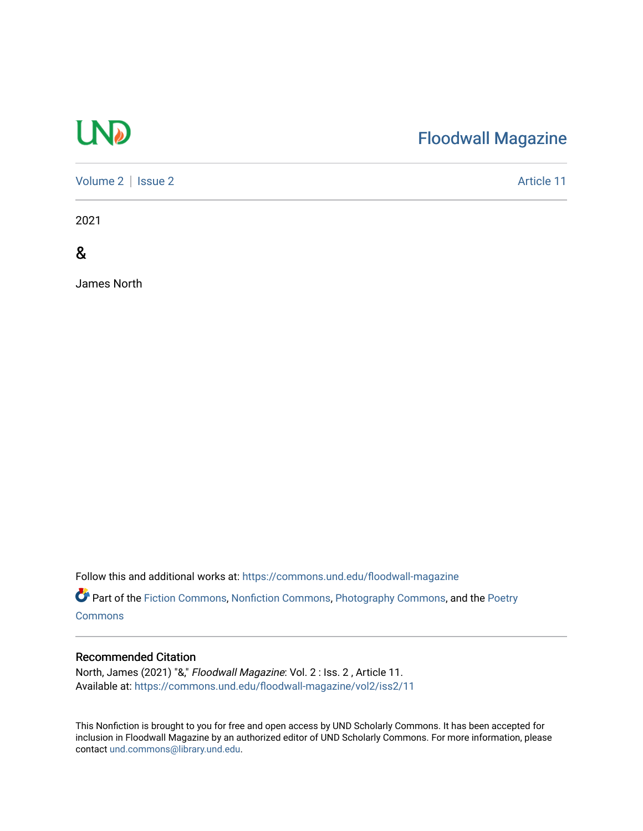# UND

### [Floodwall Magazine](https://commons.und.edu/floodwall-magazine)

[Volume 2](https://commons.und.edu/floodwall-magazine/vol2) | [Issue 2](https://commons.und.edu/floodwall-magazine/vol2/iss2) Article 11

2021

&

James North

Follow this and additional works at: [https://commons.und.edu/floodwall-magazine](https://commons.und.edu/floodwall-magazine?utm_source=commons.und.edu%2Ffloodwall-magazine%2Fvol2%2Fiss2%2F11&utm_medium=PDF&utm_campaign=PDFCoverPages)

Part of the [Fiction Commons,](http://network.bepress.com/hgg/discipline/1151?utm_source=commons.und.edu%2Ffloodwall-magazine%2Fvol2%2Fiss2%2F11&utm_medium=PDF&utm_campaign=PDFCoverPages) [Nonfiction Commons](http://network.bepress.com/hgg/discipline/1152?utm_source=commons.und.edu%2Ffloodwall-magazine%2Fvol2%2Fiss2%2F11&utm_medium=PDF&utm_campaign=PDFCoverPages), [Photography Commons,](http://network.bepress.com/hgg/discipline/1142?utm_source=commons.und.edu%2Ffloodwall-magazine%2Fvol2%2Fiss2%2F11&utm_medium=PDF&utm_campaign=PDFCoverPages) and the [Poetry](http://network.bepress.com/hgg/discipline/1153?utm_source=commons.und.edu%2Ffloodwall-magazine%2Fvol2%2Fiss2%2F11&utm_medium=PDF&utm_campaign=PDFCoverPages) **[Commons](http://network.bepress.com/hgg/discipline/1153?utm_source=commons.und.edu%2Ffloodwall-magazine%2Fvol2%2Fiss2%2F11&utm_medium=PDF&utm_campaign=PDFCoverPages)** 

#### Recommended Citation

North, James (2021) "&," Floodwall Magazine: Vol. 2 : Iss. 2 , Article 11. Available at: [https://commons.und.edu/floodwall-magazine/vol2/iss2/11](https://commons.und.edu/floodwall-magazine/vol2/iss2/11?utm_source=commons.und.edu%2Ffloodwall-magazine%2Fvol2%2Fiss2%2F11&utm_medium=PDF&utm_campaign=PDFCoverPages)

This Nonfiction is brought to you for free and open access by UND Scholarly Commons. It has been accepted for inclusion in Floodwall Magazine by an authorized editor of UND Scholarly Commons. For more information, please contact [und.commons@library.und.edu.](mailto:und.commons@library.und.edu)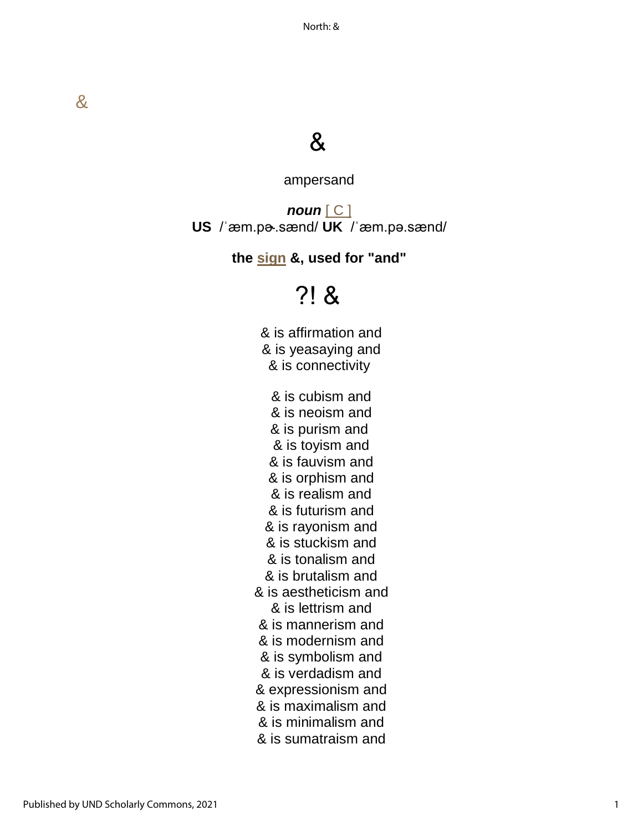### &

ampersand

*noun* [\[ C \]](https://dictionary.cambridge.org/us/help/codes.html) **US** /ˈæm.pɚ.sænd/ **UK** /ˈæm.pə.sænd/

**the [sign](https://dictionary.cambridge.org/us/dictionary/english/sign) &, used for "and"**

## ?! &

& is affirmation and & is yeasaying and & is connectivity

& is cubism and & is neoism and & is purism and & is toyism and & is fauvism and & is orphism and & is realism and & is futurism and & is rayonism and & is stuckism and & is tonalism and & is brutalism and & is aestheticism and & is lettrism and & is mannerism and & is modernism and & is symbolism and & is verdadism and & expressionism and & is maximalism and & is minimalism and & is sumatraism and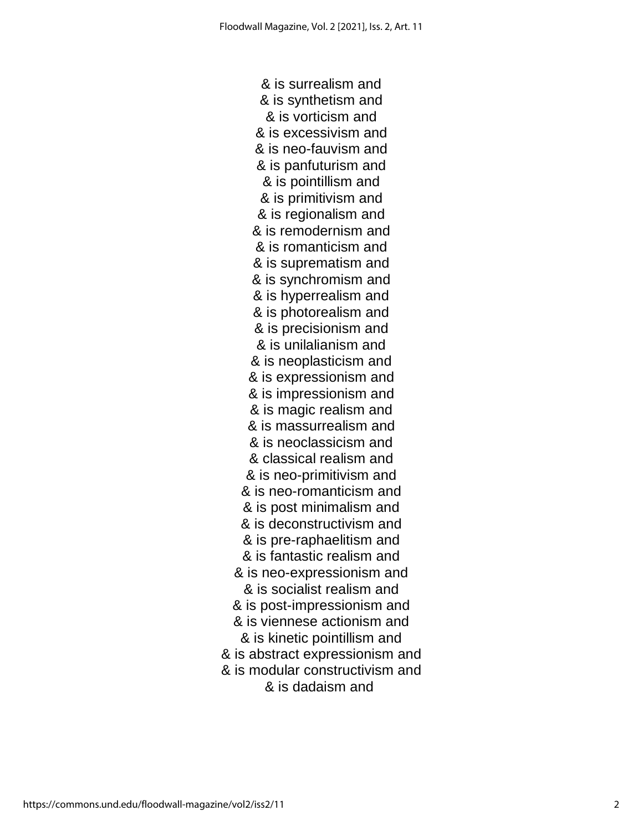& is surrealism and & is synthetism and & is vorticism and & is excessivism and & is neo-fauvism and & is panfuturism and & is pointillism and & is primitivism and & is regionalism and & is remodernism and & is romanticism and & is suprematism and & is synchromism and & is hyperrealism and & is photorealism and & is precisionism and & is unilalianism and & is neoplasticism and & is expressionism and & is impressionism and & is magic realism and & is massurrealism and & is neoclassicism and & classical realism and & is neo-primitivism and & is neo-romanticism and & is post minimalism and & is deconstructivism and & is pre-raphaelitism and & is fantastic realism and & is neo-expressionism and & is socialist realism and & is post-impressionism and & is viennese actionism and & is kinetic pointillism and & is abstract expressionism and & is modular constructivism and & is dadaism and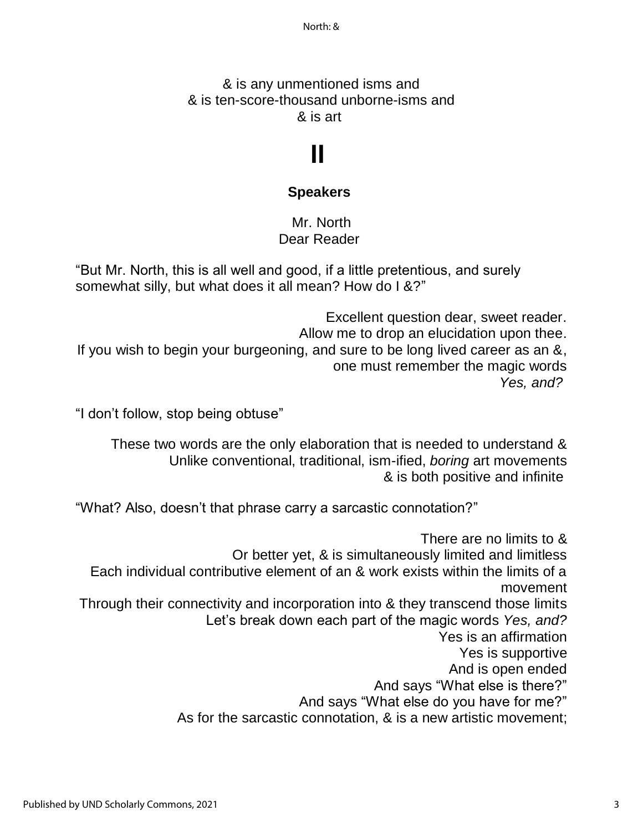#### & is any unmentioned isms and & is ten-score-thousand unborne-isms and & is art

# **II**

#### **Speakers**

Mr. North Dear Reader

"But Mr. North, this is all well and good, if a little pretentious, and surely somewhat silly, but what does it all mean? How do I &?"

Excellent question dear, sweet reader. Allow me to drop an elucidation upon thee. If you wish to begin your burgeoning, and sure to be long lived career as an &, one must remember the magic words *Yes, and?*

"I don't follow, stop being obtuse"

These two words are the only elaboration that is needed to understand & Unlike conventional, traditional, ism-ified, *boring* art movements & is both positive and infinite

"What? Also, doesn't that phrase carry a sarcastic connotation?"

There are no limits to & Or better yet, & is simultaneously limited and limitless Each individual contributive element of an & work exists within the limits of a movement Through their connectivity and incorporation into & they transcend those limits Let's break down each part of the magic words *Yes, and?* Yes is an affirmation Yes is supportive And is open ended And says "What else is there?" And says "What else do you have for me?" As for the sarcastic connotation, & is a new artistic movement;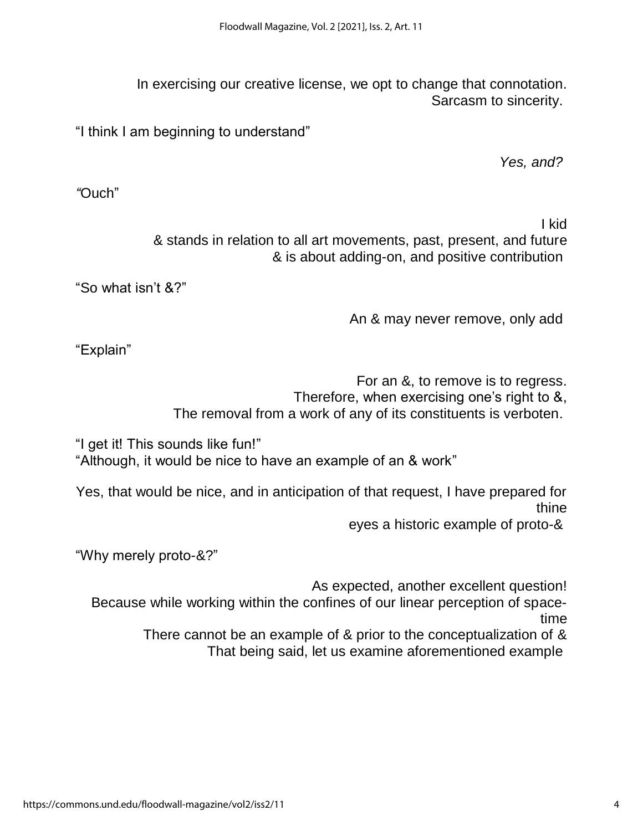In exercising our creative license, we opt to change that connotation. Sarcasm to sincerity.

"I think I am beginning to understand"

*Yes, and?*

*"*Ouch"

I kid

& stands in relation to all art movements, past, present, and future & is about adding-on, and positive contribution

"So what isn't &?"

An & may never remove, only add

"Explain"

For an &, to remove is to regress.

Therefore, when exercising one's right to &,

The removal from a work of any of its constituents is verboten.

"I get it! This sounds like fun!" "Although, it would be nice to have an example of an & work"

Yes, that would be nice, and in anticipation of that request, I have prepared for thine

eyes a historic example of proto-&

"Why merely proto-&?"

As expected, another excellent question!

Because while working within the confines of our linear perception of spacetime

There cannot be an example of & prior to the conceptualization of & That being said, let us examine aforementioned example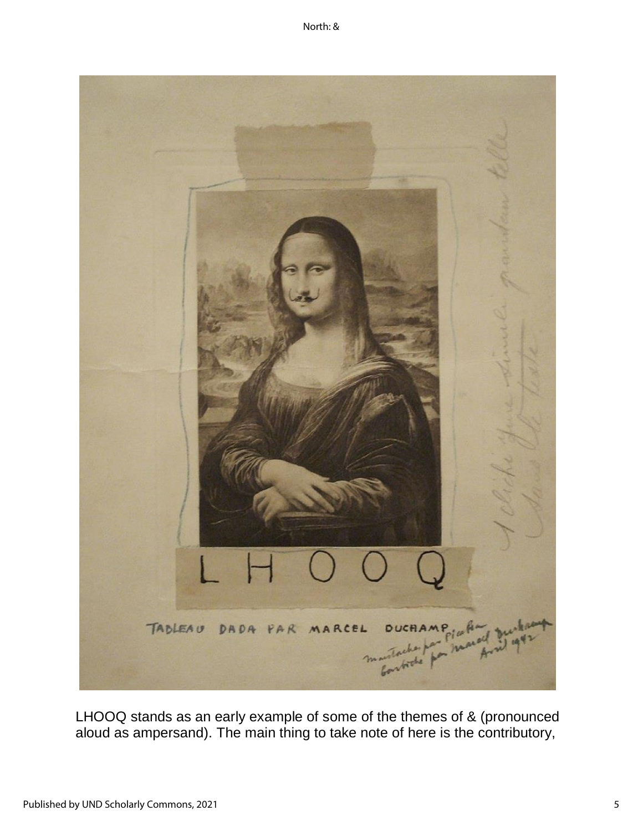

LHOOQ stands as an early example of some of the themes of & (pronounced aloud as ampersand). The main thing to take note of here is the contributory,